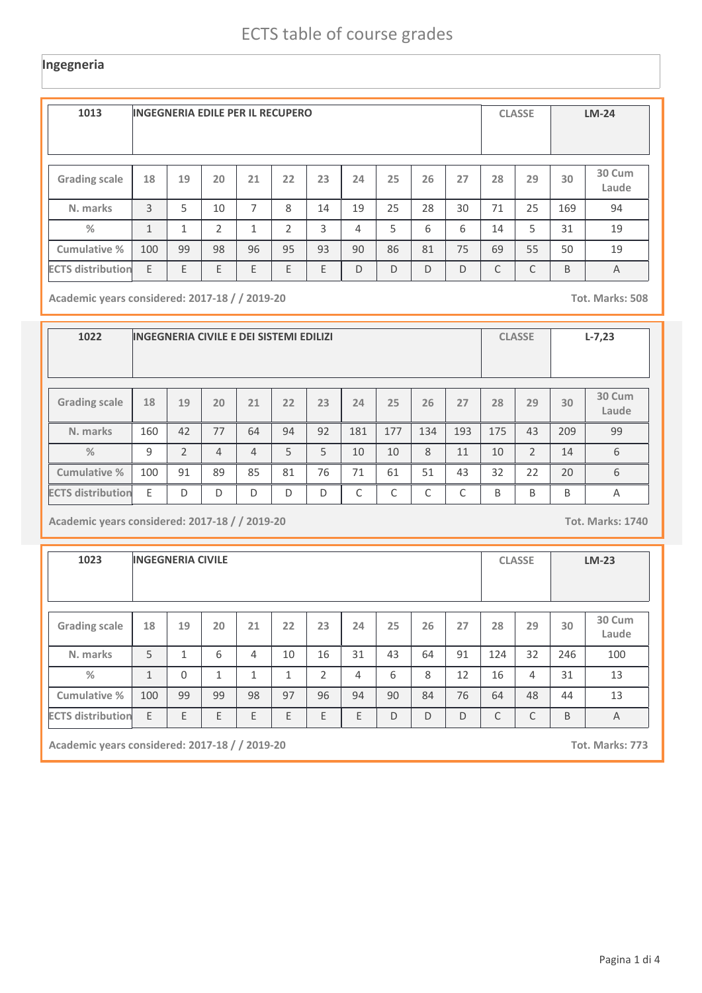#### **Ingegneria**

| 1013                     | <b>INGEGNERIA EDILE PER IL RECUPERO</b> |    |    |    |    |    |    |    |    |    |    | <b>CLASSE</b> |     | $LM-24$         |  |
|--------------------------|-----------------------------------------|----|----|----|----|----|----|----|----|----|----|---------------|-----|-----------------|--|
| <b>Grading scale</b>     | 18                                      | 19 | 20 | 21 | 22 | 23 | 24 | 25 | 26 | 27 | 28 | 29            | 30  | 30 Cum<br>Laude |  |
| N. marks                 | 3                                       | 5  | 10 | 7  | 8  | 14 | 19 | 25 | 28 | 30 | 71 | 25            | 169 | 94              |  |
| $\frac{0}{2}$            | $\mathbf{1}$                            | 1  | 2  | 1  | 2  | 3  | 4  | 5  | 6  | 6  | 14 | 5             | 31  | 19              |  |
| Cumulative %             | 100                                     | 99 | 98 | 96 | 95 | 93 | 90 | 86 | 81 | 75 | 69 | 55            | 50  | 19              |  |
| <b>ECTS distribution</b> | E                                       | E  | E  | E  | E  | E  | D  | D  | D  | D  | C  | C             | B   | $\overline{A}$  |  |

**Academic years considered: 2017-18 / / 2019-20 Tot. Marks: 508**

| 1022                     |              |                | INGEGNERIA CIVILE E DEI SISTEMI EDILIZI |    |    |    |     |     |     |     |     | <b>CLASSE</b>  |     | $L-7,23$        |
|--------------------------|--------------|----------------|-----------------------------------------|----|----|----|-----|-----|-----|-----|-----|----------------|-----|-----------------|
| <b>Grading scale</b>     | 18           | 19             | 20                                      | 21 | 22 | 23 | 24  | 25  | 26  | 27  | 28  | 29             | 30  | 30 Cum<br>Laude |
| N. marks                 | 160          | 42             | 77                                      | 64 | 94 | 92 | 181 | 177 | 134 | 193 | 175 | 43             | 209 | 99              |
| $\frac{9}{6}$            | $\mathsf{q}$ | $\mathfrak{D}$ | $\overline{4}$                          | 4  | 5  | 5  | 10  | 10  | 8   | 11  | 10  | $\overline{2}$ | 14  | 6               |
| <b>Cumulative %</b>      | 100          | 91             | 89                                      | 85 | 81 | 76 | 71  | 61  | 51  | 43  | 32  | 22             | 20  | 6               |
| <b>ECTS distribution</b> | E            | D              | D                                       | D  | D  | D  | C   | C   | C   | C   | B   | B              | B   | Α               |

**Academic years considered: 2017-18 / / 2019-20 Tot. Marks: 1740**

**1023 INGEGNERIA CIVILE CLASSE LM-23 Grading scale 18 N. marks Cumulative % %** 5 **19** 1 **20** 6 **<sup>21</sup> <sup>22</sup> <sup>23</sup> <sup>24</sup> <sup>25</sup> <sup>26</sup> <sup>27</sup> <sup>28</sup> <sup>29</sup> 30 Cum Laude** 4 | 10 | 16 | 31 | 43 | 64 | 91 | 124 | 32 | 246 | 100 **30** 246 1 0 1 1 1 2 4 6 8 12 16 4 31 13 **Academic years considered: 2017-18 / / 2019-20 Tot. Marks: 773** 100 99 99 98 97 96 94 90 84 76 64 48 44 13  $\mathsf{ECTS\, distribution}$   $\mathsf{ E}$   $\mathsf{ E}$   $\mathsf{ E}$   $\mathsf{ E}$   $\mathsf{ E}$   $\mathsf{ E}$   $\mathsf{ E}$   $\mathsf{ E}$   $\mathsf{ E}$   $\mathsf{ E}$   $\mathsf{ E}$   $\mathsf{ E}$   $\mathsf{ D}$   $\mathsf{ D}$   $\mathsf{ D}$   $\mathsf{ C}$   $\mathsf{ C}$   $\mathsf{ E}$   $\mathsf{ E}$   $\mathsf{ A}$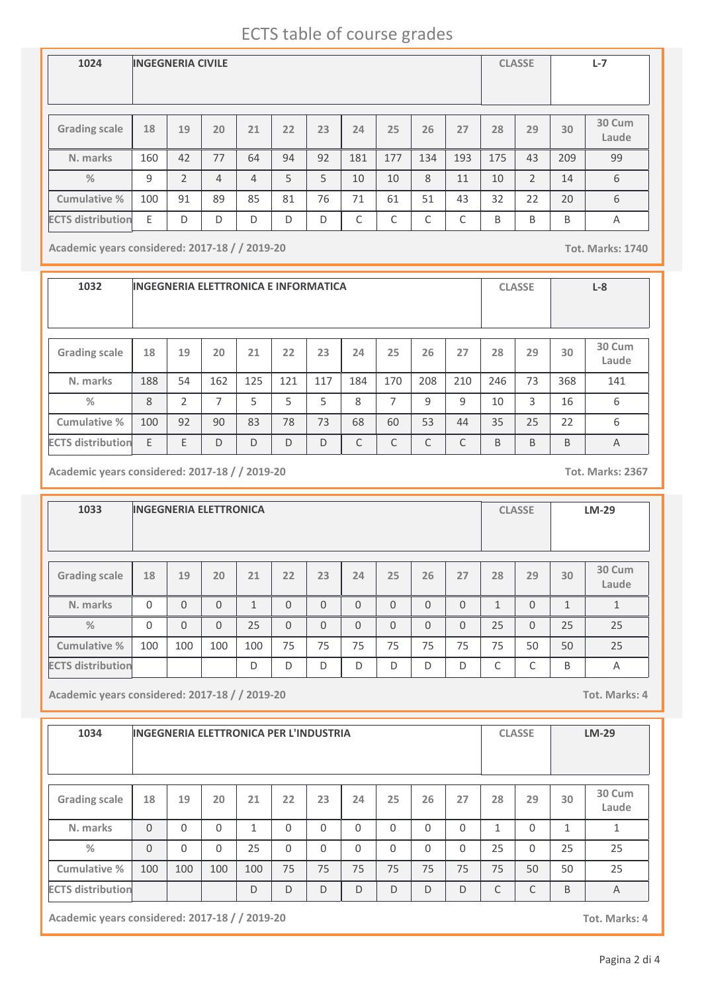# ECTS table of course grades

| 1024                     | <b>INGEGNERIA CIVILE</b> |                |                |                |    |    |     |     |     |     | <b>CLASSE</b> |                | $L - 7$ |                 |
|--------------------------|--------------------------|----------------|----------------|----------------|----|----|-----|-----|-----|-----|---------------|----------------|---------|-----------------|
| <b>Grading scale</b>     | 18                       | 19             | 20             | 21             | 22 | 23 | 24  | 25  | 26  | 27  | 28            | 29             | 30      | 30 Cum<br>Laude |
| N. marks                 | 160                      | 42             | 77             | 64             | 94 | 92 | 181 | 177 | 134 | 193 | 175           | 43             | 209     | 99              |
| $\frac{9}{6}$            | 9                        | $\mathfrak{D}$ | $\overline{4}$ | $\overline{4}$ | 5  | 5  | 10  | 10  | 8   | 11  | 10            | $\overline{2}$ | 14      | 6               |
| <b>Cumulative %</b>      | 100                      | 91             | 89             | 85             | 81 | 76 | 71  | 61  | 51  | 43  | 32            | 22             | 20      | 6               |
| <b>ECTS distribution</b> | E                        | D              | D              | D              | D  | D  | C   | C   | C   | C   | B             | B              | B       | $\overline{A}$  |

**Academic years considered: 2017-18 / / 2019-20 Tot. Marks: 1740**

**1032 INGEGNERIA ELETTRONICA E INFORMATICA CLASSE L-8 Grading scale 18 N. marks Cumulative % %** 188 **19** 54 **20** 162 **<sup>21</sup> <sup>22</sup> <sup>23</sup> <sup>24</sup> <sup>25</sup> <sup>26</sup> <sup>27</sup> <sup>28</sup> <sup>29</sup> 30 Cum Laude** 125 | 121 | 117 | 184 | 170 | 208 | 210 | 246 | 73 | 368 | 141 **30** 368 8 2 7 5 5 5 8 7 9 9 10 3 16 6 100 92 90 83 78 73 68 60 53 44 35 25 22 6 **ECTS distribution** E E D D D D C C C C B B B A

**Academic years considered: 2017-18 / / 2019-20 Tot. Marks: 2367**

**1033 INGEGNERIA ELETTRONICA CLASSE LM-29 Grading scale 18 N. marks Cumulative % %** 0 **19** 0 **20** 0 **<sup>21</sup> <sup>22</sup> <sup>23</sup> <sup>24</sup> <sup>25</sup> <sup>26</sup> <sup>27</sup> <sup>28</sup> <sup>29</sup> 30 Cum Laude** 1 0 0 0 0 0 0 0 1 0 1 1 **30** 1 0 0 0 25 0 0 0 0 0 0 0 25 0 25 25 100 100 100 100 75 75 75 75 75 75 75 50 50 25 **ECTS distribution** D D D D D D D C C B A

**Academic years considered: 2017-18 / / 2019-20 Tot. Marks: 4**

| 1034                     | <b>INGEGNERIA ELETTRONICA PER L'INDUSTRIA</b> |          |          |     |          |          |          |          |              |              | <b>CLASSE</b> |          | $LM-29$      |                 |
|--------------------------|-----------------------------------------------|----------|----------|-----|----------|----------|----------|----------|--------------|--------------|---------------|----------|--------------|-----------------|
| <b>Grading scale</b>     | 18                                            | 19       | 20       | 21  | 22       | 23       | 24       | 25       | 26           | 27           | 28            | 29       | 30           | 30 Cum<br>Laude |
| N. marks                 | $\Omega$                                      | $\Omega$ | $\Omega$ | 1   | $\Omega$ | $\Omega$ | $\Omega$ | $\Omega$ | $\Omega$     | $\mathbf{0}$ | $\mathbf{1}$  | $\Omega$ | $\mathbf{1}$ | 1               |
| %                        | $\Omega$                                      | $\Omega$ | $\Omega$ | 25  | $\Omega$ | $\Omega$ | $\Omega$ | $\Omega$ | $\Omega$     | $\Omega$     | 25            | $\Omega$ | 25           | 25              |
| Cumulative %             | 100                                           | 100      | 100      | 100 | 75       | 75       | 75       | 75       | 75           | 75           | 75            | 50       | 50           | 25              |
| <b>ECTS distribution</b> |                                               |          |          | D   | D        | D        | D        | D        | $\mathsf{D}$ | D            | C             | C        | B            | A               |

**Academic years considered: 2017-18 / / 2019-20 Tot. Marks: 4**

Pagina 2 di 4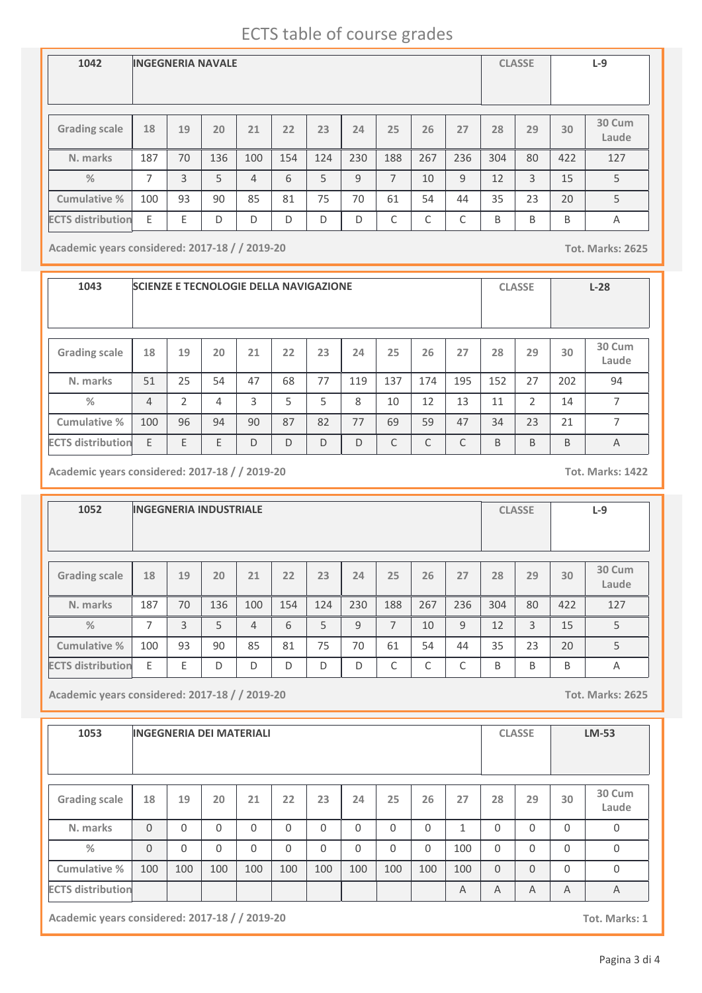# ECTS table of course grades

| 1042                     | <b>INGEGNERIA NAVALE</b> |    |     |                |     |     |     |     |     |     |     | <b>CLASSE</b> |     | $L-9$           |
|--------------------------|--------------------------|----|-----|----------------|-----|-----|-----|-----|-----|-----|-----|---------------|-----|-----------------|
| <b>Grading scale</b>     | 18                       | 19 | 20  | 21             | 22  | 23  | 24  | 25  | 26  | 27  | 28  | 29            | 30  | 30 Cum<br>Laude |
| N. marks                 | 187                      | 70 | 136 | 100            | 154 | 124 | 230 | 188 | 267 | 236 | 304 | 80            | 422 | 127             |
| $\frac{9}{6}$            | 7                        | 3  | 5   | $\overline{4}$ | 6   | 5   | 9   | 7   | 10  | 9   | 12  | 3             | 15  | 5               |
| <b>Cumulative %</b>      | 100                      | 93 | 90  | 85             | 81  | 75  | 70  | 61  | 54  | 44  | 35  | 23            | 20  | 5               |
| <b>ECTS</b> distribution | E                        | E  | D   | D              | D   | D   | D   | C   | ┌   | C   | B   | B             | B   | A               |

**Academic years considered: 2017-18 / / 2019-20 Tot. Marks: 2625**

**1043 SCIENZE E TECNOLOGIE DELLA NAVIGAZIONE CLASSE L-28 Grading scale 18 N. marks Cumulative % %** 51 **19** 25 **20** 54 **<sup>21</sup> <sup>22</sup> <sup>23</sup> <sup>24</sup> <sup>25</sup> <sup>26</sup> <sup>27</sup> <sup>28</sup> <sup>29</sup> 30 Cum Laude** 47 | 68 | 77 | 119 | 137 | 174 | 195 | 152 | 27 | 202 | 94 **30** 202 4  $2$   $4$   $3$   $5$   $5$   $8$   $10$   $12$   $13$   $11$   $2$   $14$   $7$ 100 96 94 90 87 82 77 69 59 47 34 23 21 7 **ECTS distribution** E E E D D D D C C C B B B A

**Academic years considered: 2017-18 / / 2019-20 Tot. Marks: 1422**

**1052 INGEGNERIA INDUSTRIALE CLASSE L-9 Grading scale 18 N. marks Cumulative % %** 187 **19** 70 **20** 136 **<sup>21</sup> <sup>22</sup> <sup>23</sup> <sup>24</sup> <sup>25</sup> <sup>26</sup> <sup>27</sup> <sup>28</sup> <sup>29</sup> 30 Cum Laude** 100 | 154 | 124 | 230 | 188 | 267 | 236 | 304 | 80 | 422 | 127 **30** 422 7 3 3 4 6 5 9 7 10 9 12 3 15 5 100 | 93 | 90 | 85 | 81 | 75 | 70 | 61 | 54 | 44 | 35 | 23 | 20 | 5 ECTS distribution E E D D D D D D D C C C B B B A

**Academic years considered: 2017-18 / / 2019-20 Tot. Marks: 2625**

| 1053                     |          |          | <b>INGEGNERIA DEI MATERIALI</b> |          |          |          |          |          |          |                |          | <b>CLASSE</b> |          | <b>LM-53</b>    |
|--------------------------|----------|----------|---------------------------------|----------|----------|----------|----------|----------|----------|----------------|----------|---------------|----------|-----------------|
| <b>Grading scale</b>     | 18       | 19       | 20                              | 21       | 22       | 23       | 24       | 25       | 26       | 27             | 28       | 29            | 30       | 30 Cum<br>Laude |
| N. marks                 | $\Omega$ | $\Omega$ | $\Omega$                        | $\Omega$ | $\Omega$ | $\Omega$ | $\Omega$ | $\Omega$ | $\Omega$ | $\mathbf{1}$   | $\Omega$ | $\Omega$      | $\Omega$ | $\mathbf 0$     |
| $\%$                     | $\Omega$ | $\Omega$ | $\Omega$                        | $\Omega$ | $\Omega$ | $\Omega$ | $\Omega$ | $\Omega$ | 0        | 100            | $\Omega$ | $\mathbf{0}$  | $\Omega$ | $\mathbf 0$     |
| Cumulative %             | 100      | 100      | 100                             | 100      | 100      | 100      | 100      | 100      | 100      | 100            | $\Omega$ | $\Omega$      | $\Omega$ | $\mathbf 0$     |
| <b>ECTS distribution</b> |          |          |                                 |          |          |          |          |          |          | $\overline{A}$ | A        | A             | A        | A               |

**Academic years considered: 2017-18 / / 2019-20 Tot. Marks: 1**

Pagina 3 di 4